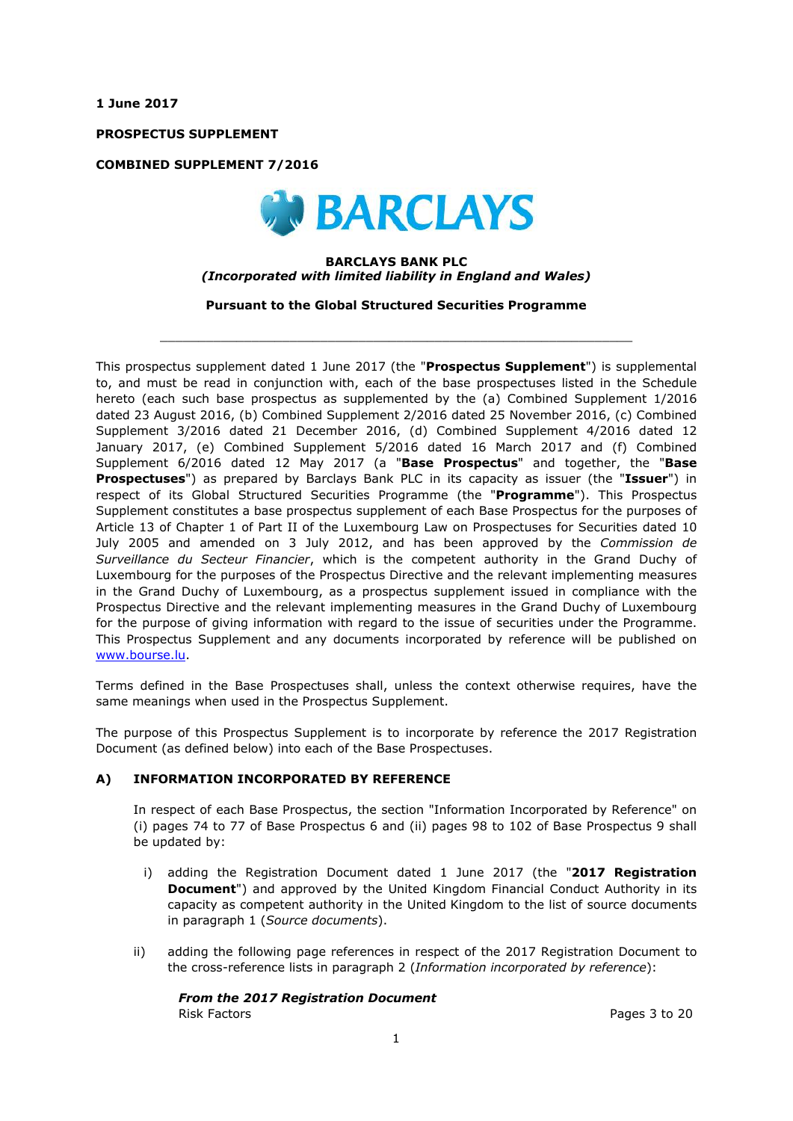**1 June 2017**

**PROSPECTUS SUPPLEMENT**

**COMBINED SUPPLEMENT 7/2016**



#### **BARCLAYS BANK PLC** *(Incorporated with limited liability in England and Wales)*

**Pursuant to the Global Structured Securities Programme**

 $\_$  ,  $\_$  ,  $\_$  ,  $\_$  ,  $\_$  ,  $\_$  ,  $\_$  ,  $\_$  ,  $\_$  ,  $\_$  ,  $\_$  ,  $\_$  ,  $\_$  ,  $\_$  ,  $\_$  ,  $\_$  ,  $\_$  ,  $\_$  ,  $\_$  ,  $\_$  ,  $\_$  ,  $\_$  ,  $\_$  ,  $\_$  ,  $\_$  ,  $\_$  ,  $\_$  ,  $\_$  ,  $\_$  ,  $\_$  ,  $\_$  ,  $\_$  ,  $\_$  ,  $\_$  ,  $\_$  ,  $\_$  ,  $\_$  ,

This prospectus supplement dated 1 June 2017 (the "**Prospectus Supplement**") is supplemental to, and must be read in conjunction with, each of the base prospectuses listed in the Schedule hereto (each such base prospectus as supplemented by the (a) Combined Supplement 1/2016 dated 23 August 2016, (b) Combined Supplement 2/2016 dated 25 November 2016, (c) Combined Supplement 3/2016 dated 21 December 2016, (d) Combined Supplement 4/2016 dated 12 January 2017, (e) Combined Supplement 5/2016 dated 16 March 2017 and (f) Combined Supplement 6/2016 dated 12 May 2017 (a "**Base Prospectus**" and together, the "**Base Prospectuses**") as prepared by Barclays Bank PLC in its capacity as issuer (the "**Issuer**") in respect of its Global Structured Securities Programme (the "**Programme**"). This Prospectus Supplement constitutes a base prospectus supplement of each Base Prospectus for the purposes of Article 13 of Chapter 1 of Part II of the Luxembourg Law on Prospectuses for Securities dated 10 July 2005 and amended on 3 July 2012, and has been approved by the *Commission de Surveillance du Secteur Financier*, which is the competent authority in the Grand Duchy of Luxembourg for the purposes of the Prospectus Directive and the relevant implementing measures in the Grand Duchy of Luxembourg, as a prospectus supplement issued in compliance with the Prospectus Directive and the relevant implementing measures in the Grand Duchy of Luxembourg for the purpose of giving information with regard to the issue of securities under the Programme. This Prospectus Supplement and any documents incorporated by reference will be published on www.bourse.lu.

Terms defined in the Base Prospectuses shall, unless the context otherwise requires, have the same meanings when used in the Prospectus Supplement.

The purpose of this Prospectus Supplement is to incorporate by reference the 2017 Registration Document (as defined below) into each of the Base Prospectuses.

### **A) INFORMATION INCORPORATED BY REFERENCE**

In respect of each Base Prospectus, the section "Information Incorporated by Reference" on (i) pages 74 to 77 of Base Prospectus 6 and (ii) pages 98 to 102 of Base Prospectus 9 shall be updated by:

- i) adding the Registration Document dated 1 June 2017 (the "**2017 Registration Document**") and approved by the United Kingdom Financial Conduct Authority in its capacity as competent authority in the United Kingdom to the list of source documents in paragraph 1 (*Source documents*).
- ii) adding the following page references in respect of the 2017 Registration Document to the cross-reference lists in paragraph 2 (*Information incorporated by reference*):

*From the 2017 Registration Document* Risk Factors Pages 3 to 20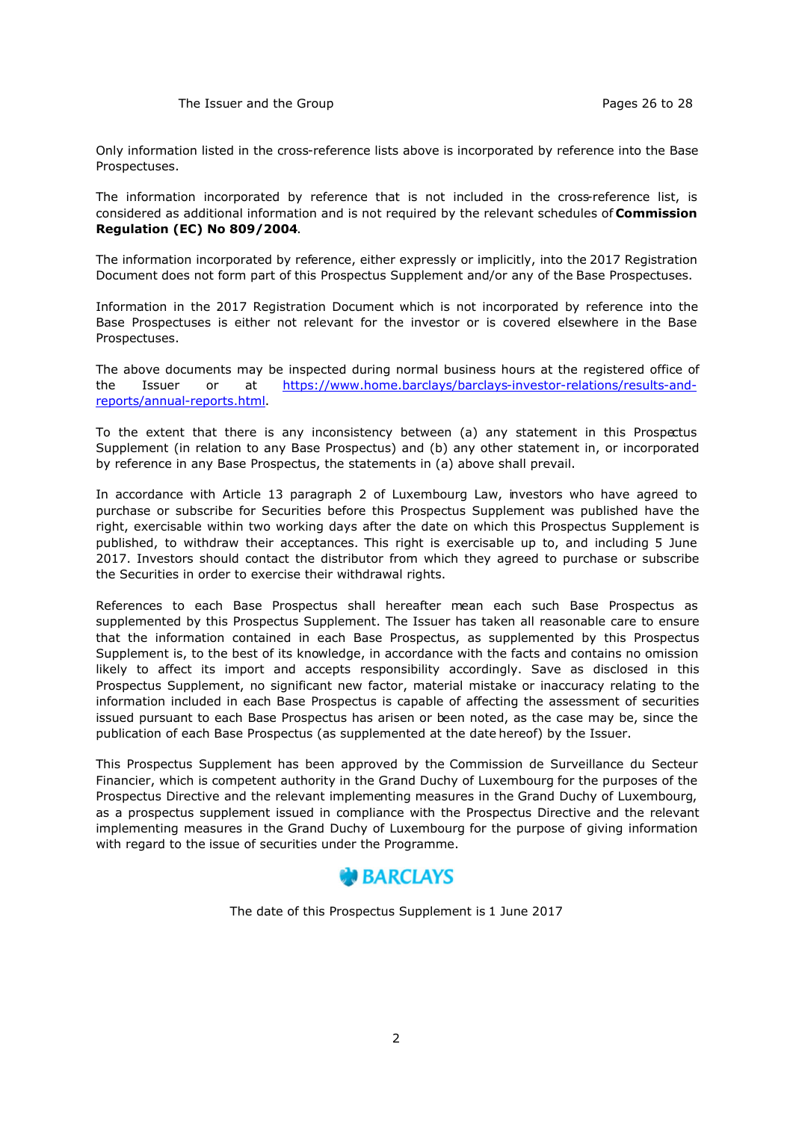Only information listed in the cross-reference lists above is incorporated by reference into the Base Prospectuses.

The information incorporated by reference that is not included in the cross-reference list, is considered as additional information and is not required by the relevant schedules of **Commission Regulation (EC) No 809/2004**.

The information incorporated by reference, either expressly or implicitly, into the 2017 Registration Document does not form part of this Prospectus Supplement and/or any of the Base Prospectuses.

Information in the 2017 Registration Document which is not incorporated by reference into the Base Prospectuses is either not relevant for the investor or is covered elsewhere in the Base Prospectuses.

The above documents may be inspected during normal business hours at the registered office of the Issuer or at https://www.home.barclays/barclays-investor-relations/results-andreports/annual-reports.html.

To the extent that there is any inconsistency between (a) any statement in this Prospectus Supplement (in relation to any Base Prospectus) and (b) any other statement in, or incorporated by reference in any Base Prospectus, the statements in (a) above shall prevail.

In accordance with Article 13 paragraph 2 of Luxembourg Law, investors who have agreed to purchase or subscribe for Securities before this Prospectus Supplement was published have the right, exercisable within two working days after the date on which this Prospectus Supplement is published, to withdraw their acceptances. This right is exercisable up to, and including 5 June 2017. Investors should contact the distributor from which they agreed to purchase or subscribe the Securities in order to exercise their withdrawal rights.

References to each Base Prospectus shall hereafter mean each such Base Prospectus as supplemented by this Prospectus Supplement. The Issuer has taken all reasonable care to ensure that the information contained in each Base Prospectus, as supplemented by this Prospectus Supplement is, to the best of its knowledge, in accordance with the facts and contains no omission likely to affect its import and accepts responsibility accordingly. Save as disclosed in this Prospectus Supplement, no significant new factor, material mistake or inaccuracy relating to the information included in each Base Prospectus is capable of affecting the assessment of securities issued pursuant to each Base Prospectus has arisen or been noted, as the case may be, since the publication of each Base Prospectus (as supplemented at the date hereof) by the Issuer.

This Prospectus Supplement has been approved by the Commission de Surveillance du Secteur Financier, which is competent authority in the Grand Duchy of Luxembourg for the purposes of the Prospectus Directive and the relevant implementing measures in the Grand Duchy of Luxembourg, as a prospectus supplement issued in compliance with the Prospectus Directive and the relevant implementing measures in the Grand Duchy of Luxembourg for the purpose of giving information with regard to the issue of securities under the Programme.

# **BARCLAYS**

The date of this Prospectus Supplement is 1 June 2017